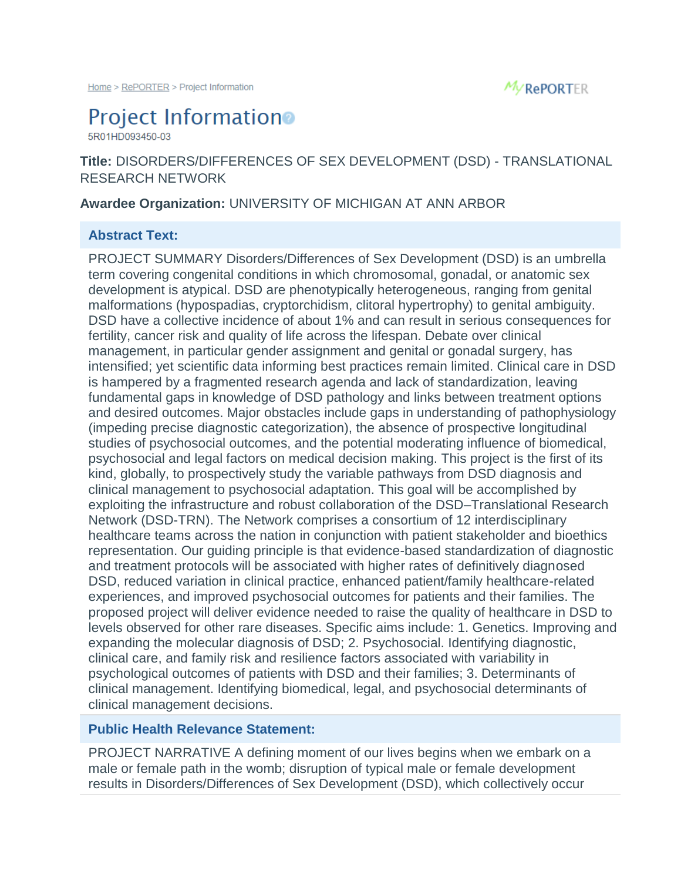

# **Project Information**

5R01HD093450-03

# **Title:** DISORDERS/DIFFERENCES OF SEX DEVELOPMENT (DSD) - TRANSLATIONAL RESEARCH NETWORK

#### **Awardee Organization:** UNIVERSITY OF MICHIGAN AT ANN ARBOR

### **Abstract Text:**

PROJECT SUMMARY Disorders/Differences of Sex Development (DSD) is an umbrella term covering congenital conditions in which chromosomal, gonadal, or anatomic sex development is atypical. DSD are phenotypically heterogeneous, ranging from genital malformations (hypospadias, cryptorchidism, clitoral hypertrophy) to genital ambiguity. DSD have a collective incidence of about 1% and can result in serious consequences for fertility, cancer risk and quality of life across the lifespan. Debate over clinical management, in particular gender assignment and genital or gonadal surgery, has intensified; yet scientific data informing best practices remain limited. Clinical care in DSD is hampered by a fragmented research agenda and lack of standardization, leaving fundamental gaps in knowledge of DSD pathology and links between treatment options and desired outcomes. Major obstacles include gaps in understanding of pathophysiology (impeding precise diagnostic categorization), the absence of prospective longitudinal studies of psychosocial outcomes, and the potential moderating influence of biomedical, psychosocial and legal factors on medical decision making. This project is the first of its kind, globally, to prospectively study the variable pathways from DSD diagnosis and clinical management to psychosocial adaptation. This goal will be accomplished by exploiting the infrastructure and robust collaboration of the DSD–Translational Research Network (DSD-TRN). The Network comprises a consortium of 12 interdisciplinary healthcare teams across the nation in conjunction with patient stakeholder and bioethics representation. Our guiding principle is that evidence-based standardization of diagnostic and treatment protocols will be associated with higher rates of definitively diagnosed DSD, reduced variation in clinical practice, enhanced patient/family healthcare-related experiences, and improved psychosocial outcomes for patients and their families. The proposed project will deliver evidence needed to raise the quality of healthcare in DSD to levels observed for other rare diseases. Specific aims include: 1. Genetics. Improving and expanding the molecular diagnosis of DSD; 2. Psychosocial. Identifying diagnostic, clinical care, and family risk and resilience factors associated with variability in psychological outcomes of patients with DSD and their families; 3. Determinants of clinical management. Identifying biomedical, legal, and psychosocial determinants of clinical management decisions.

## **Public Health Relevance Statement:**

PROJECT NARRATIVE A defining moment of our lives begins when we embark on a male or female path in the womb; disruption of typical male or female development results in Disorders/Differences of Sex Development (DSD), which collectively occur